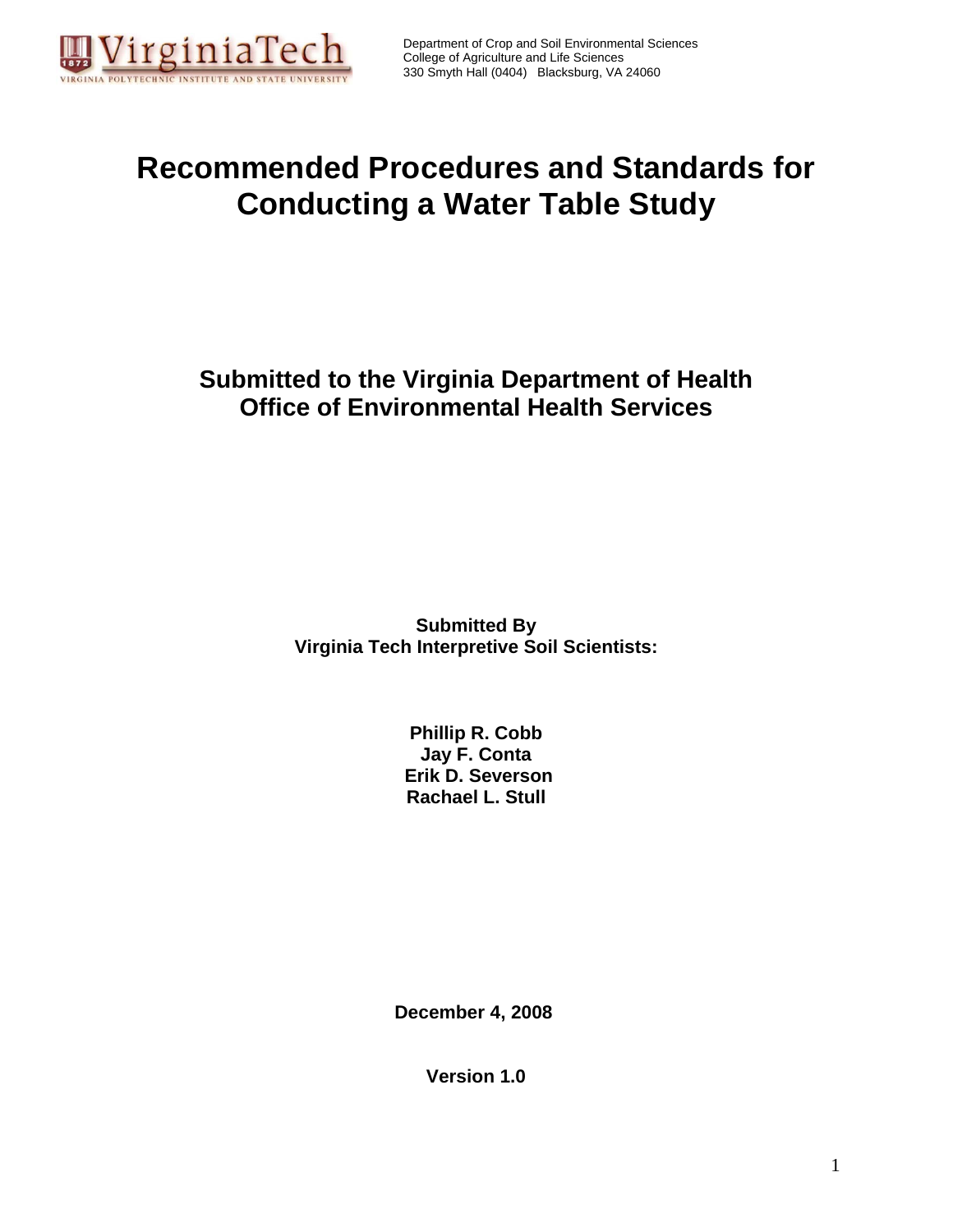

Department of Crop and Soil Environmental Sciences College of Agriculture and Life Sciences 330 Smyth Hall (0404) Blacksburg, VA 24060

# **Recommended Procedures and Standards for Conducting a Water Table Study**

## **Submitted to the Virginia Department of Health Office of Environmental Health Services**

**Submitted By Virginia Tech Interpretive Soil Scientists:** 

> **Phillip R. Cobb Jay F. Conta Erik D. Severson Rachael L. Stull**

**December 4, 2008** 

**Version 1.0**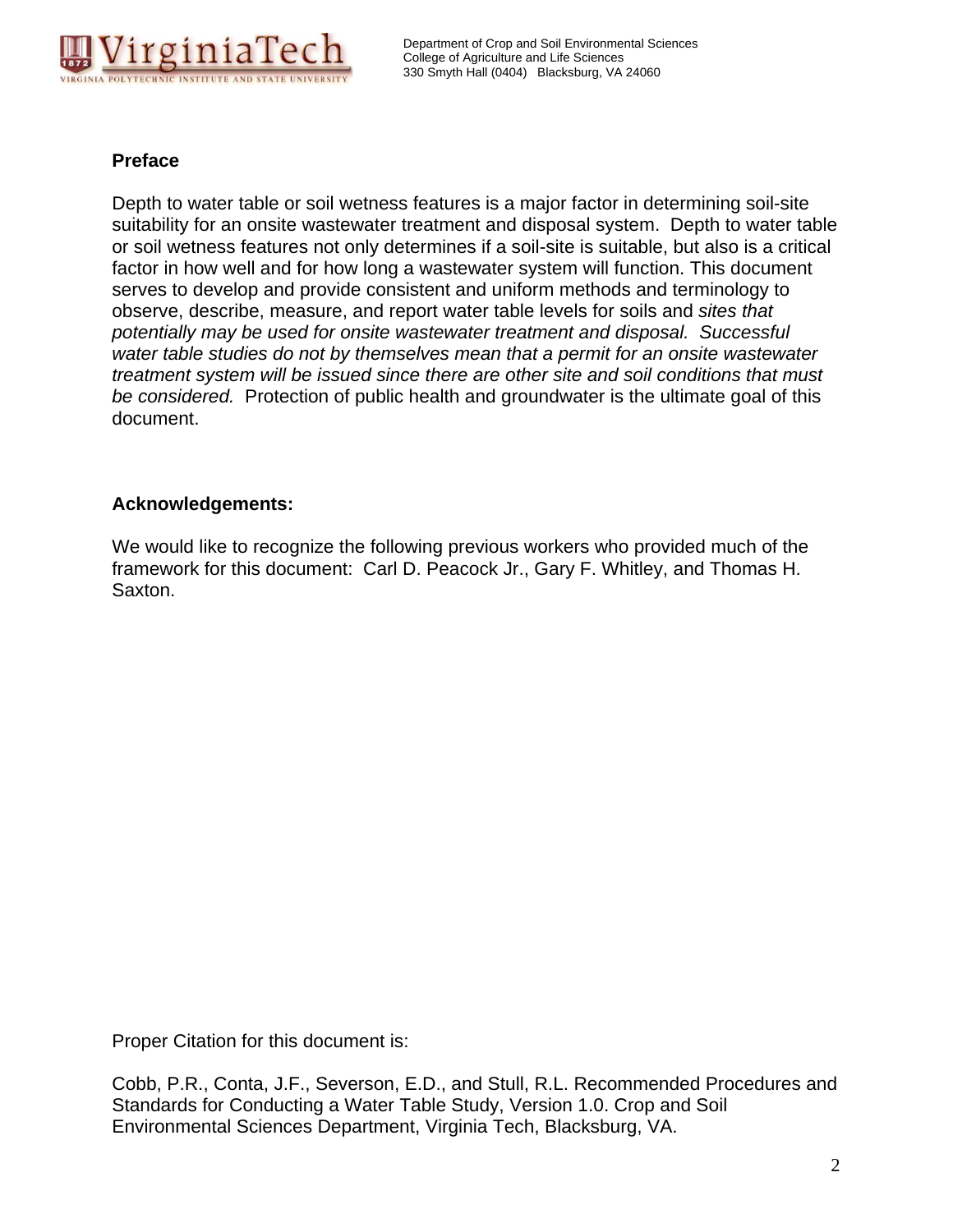

#### **Preface**

Depth to water table or soil wetness features is a major factor in determining soil-site suitability for an onsite wastewater treatment and disposal system. Depth to water table or soil wetness features not only determines if a soil-site is suitable, but also is a critical factor in how well and for how long a wastewater system will function. This document serves to develop and provide consistent and uniform methods and terminology to observe, describe, measure, and report water table levels for soils and *sites that potentially may be used for onsite wastewater treatment and disposal. Successful water table studies do not by themselves mean that a permit for an onsite wastewater treatment system will be issued since there are other site and soil conditions that must be considered.* Protection of public health and groundwater is the ultimate goal of this document.

#### **Acknowledgements:**

We would like to recognize the following previous workers who provided much of the framework for this document: Carl D. Peacock Jr., Gary F. Whitley, and Thomas H. Saxton.

Proper Citation for this document is:

Cobb, P.R., Conta, J.F., Severson, E.D., and Stull, R.L. Recommended Procedures and Standards for Conducting a Water Table Study, Version 1.0. Crop and Soil Environmental Sciences Department, Virginia Tech, Blacksburg, VA.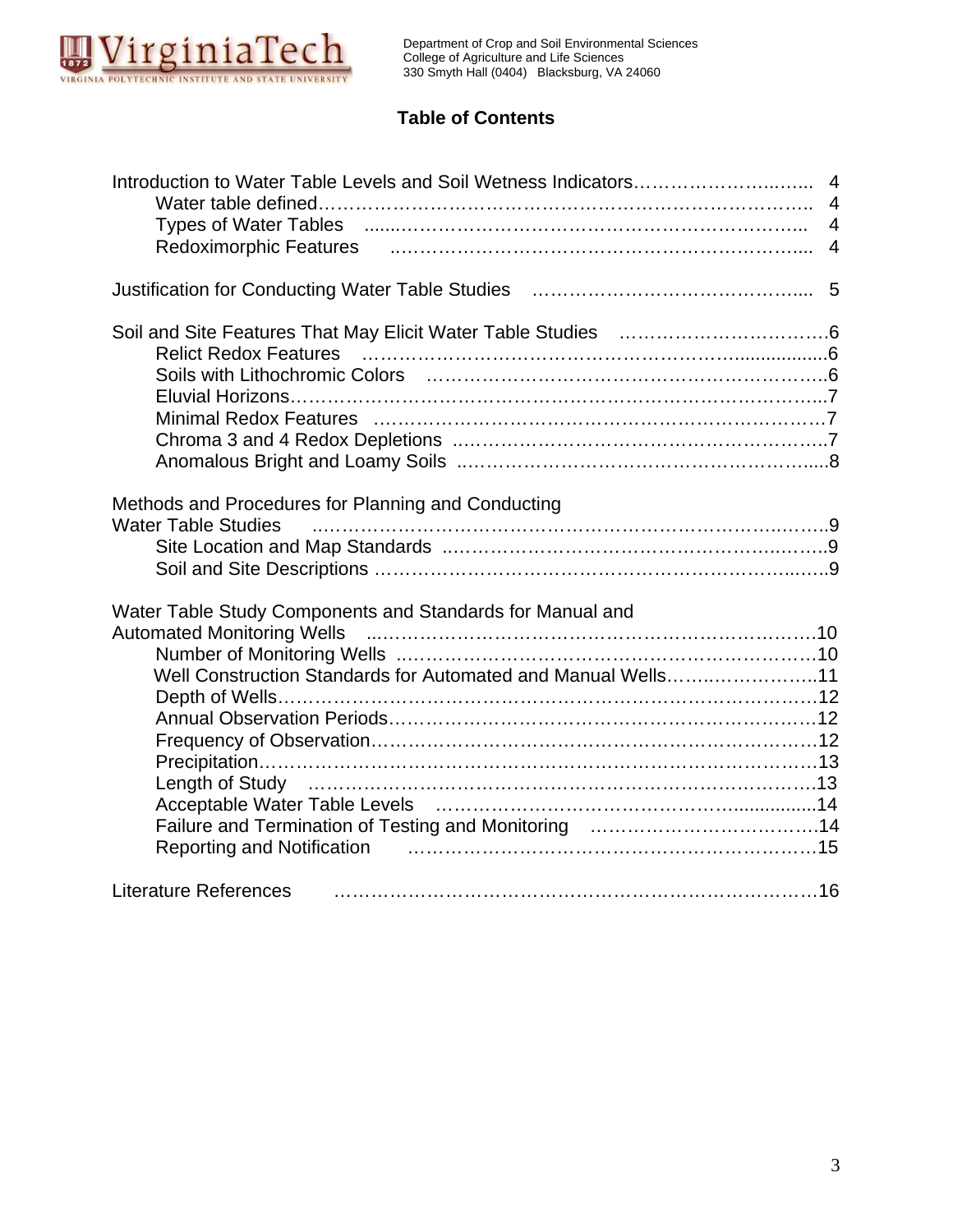

## **Table of Contents**

|                                                                                                                  | $\overline{4}$ |
|------------------------------------------------------------------------------------------------------------------|----------------|
|                                                                                                                  |                |
|                                                                                                                  | $\overline{4}$ |
| Redoximorphic Features (and all and the control of the control of the control of the control of the control of   |                |
|                                                                                                                  |                |
|                                                                                                                  |                |
| Relict Redox Features (and all and the control of the control of the control of the control of the control of    |                |
| Soils with Lithochromic Colors (and the content of the color of the color of the color of the color of the color |                |
|                                                                                                                  |                |
|                                                                                                                  |                |
|                                                                                                                  |                |
|                                                                                                                  |                |
| Methods and Procedures for Planning and Conducting<br><b>Water Table Studies</b>                                 |                |
| Water Table Study Components and Standards for Manual and                                                        |                |
|                                                                                                                  |                |
|                                                                                                                  |                |
| Well Construction Standards for Automated and Manual Wells11                                                     |                |
|                                                                                                                  |                |
|                                                                                                                  |                |
|                                                                                                                  |                |
|                                                                                                                  |                |
| Length of Study manufacture and the control of the USA state of the Length of Study                              |                |
|                                                                                                                  |                |
|                                                                                                                  |                |
| <b>Literature References</b>                                                                                     |                |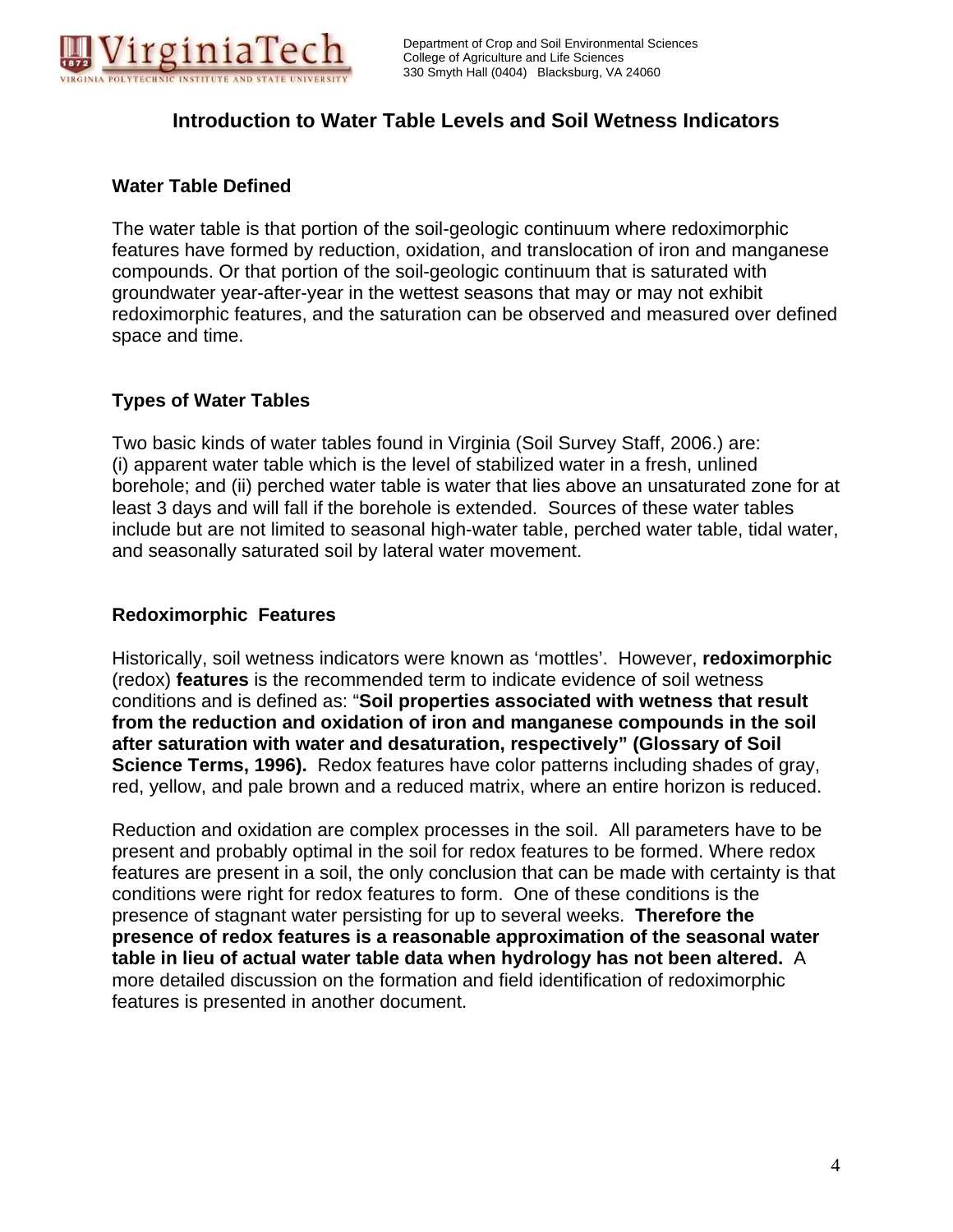

## **Introduction to Water Table Levels and Soil Wetness Indicators**

#### **Water Table Defined**

The water table is that portion of the soil-geologic continuum where redoximorphic features have formed by reduction, oxidation, and translocation of iron and manganese compounds. Or that portion of the soil-geologic continuum that is saturated with groundwater year-after-year in the wettest seasons that may or may not exhibit redoximorphic features, and the saturation can be observed and measured over defined space and time.

#### **Types of Water Tables**

Two basic kinds of water tables found in Virginia (Soil Survey Staff, 2006.) are: (i) apparent water table which is the level of stabilized water in a fresh, unlined borehole; and (ii) perched water table is water that lies above an unsaturated zone for at least 3 days and will fall if the borehole is extended. Sources of these water tables include but are not limited to seasonal high-water table, perched water table, tidal water, and seasonally saturated soil by lateral water movement.

#### **Redoximorphic Features**

Historically, soil wetness indicators were known as 'mottles'. However, **redoximorphic**  (redox) **features** is the recommended term to indicate evidence of soil wetness conditions and is defined as: "**Soil properties associated with wetness that result from the reduction and oxidation of iron and manganese compounds in the soil after saturation with water and desaturation, respectively" (Glossary of Soil Science Terms, 1996).** Redox features have color patterns including shades of gray, red, yellow, and pale brown and a reduced matrix, where an entire horizon is reduced.

Reduction and oxidation are complex processes in the soil. All parameters have to be present and probably optimal in the soil for redox features to be formed. Where redox features are present in a soil, the only conclusion that can be made with certainty is that conditions were right for redox features to form. One of these conditions is the presence of stagnant water persisting for up to several weeks. **Therefore the presence of redox features is a reasonable approximation of the seasonal water table in lieu of actual water table data when hydrology has not been altered.** A more detailed discussion on the formation and field identification of redoximorphic features is presented in another document.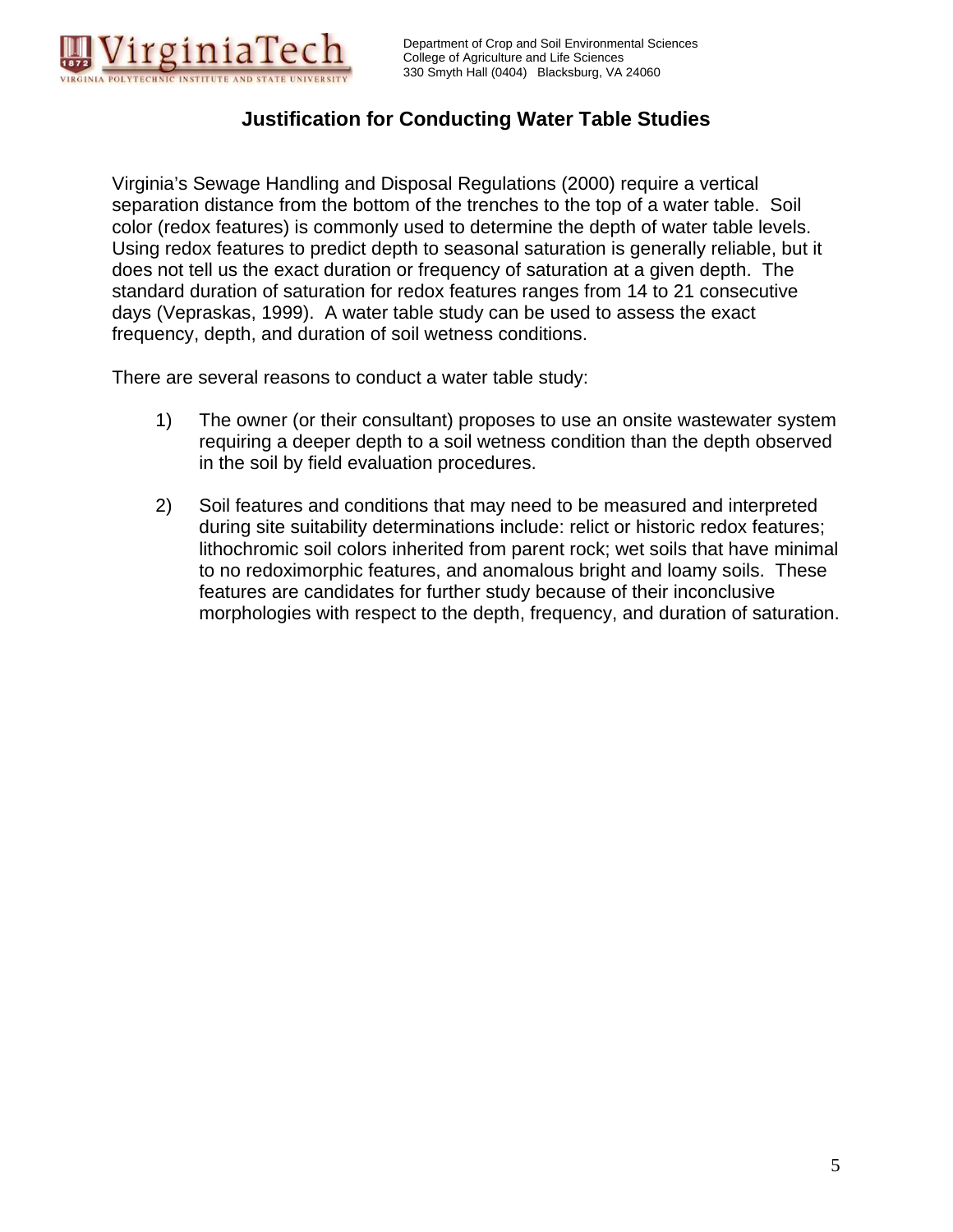

## **Justification for Conducting Water Table Studies**

Virginia's Sewage Handling and Disposal Regulations (2000) require a vertical separation distance from the bottom of the trenches to the top of a water table. Soil color (redox features) is commonly used to determine the depth of water table levels. Using redox features to predict depth to seasonal saturation is generally reliable, but it does not tell us the exact duration or frequency of saturation at a given depth. The standard duration of saturation for redox features ranges from 14 to 21 consecutive days (Vepraskas, 1999). A water table study can be used to assess the exact frequency, depth, and duration of soil wetness conditions.

There are several reasons to conduct a water table study:

- 1) The owner (or their consultant) proposes to use an onsite wastewater system requiring a deeper depth to a soil wetness condition than the depth observed in the soil by field evaluation procedures.
- 2) Soil features and conditions that may need to be measured and interpreted during site suitability determinations include: relict or historic redox features; lithochromic soil colors inherited from parent rock; wet soils that have minimal to no redoximorphic features, and anomalous bright and loamy soils. These features are candidates for further study because of their inconclusive morphologies with respect to the depth, frequency, and duration of saturation.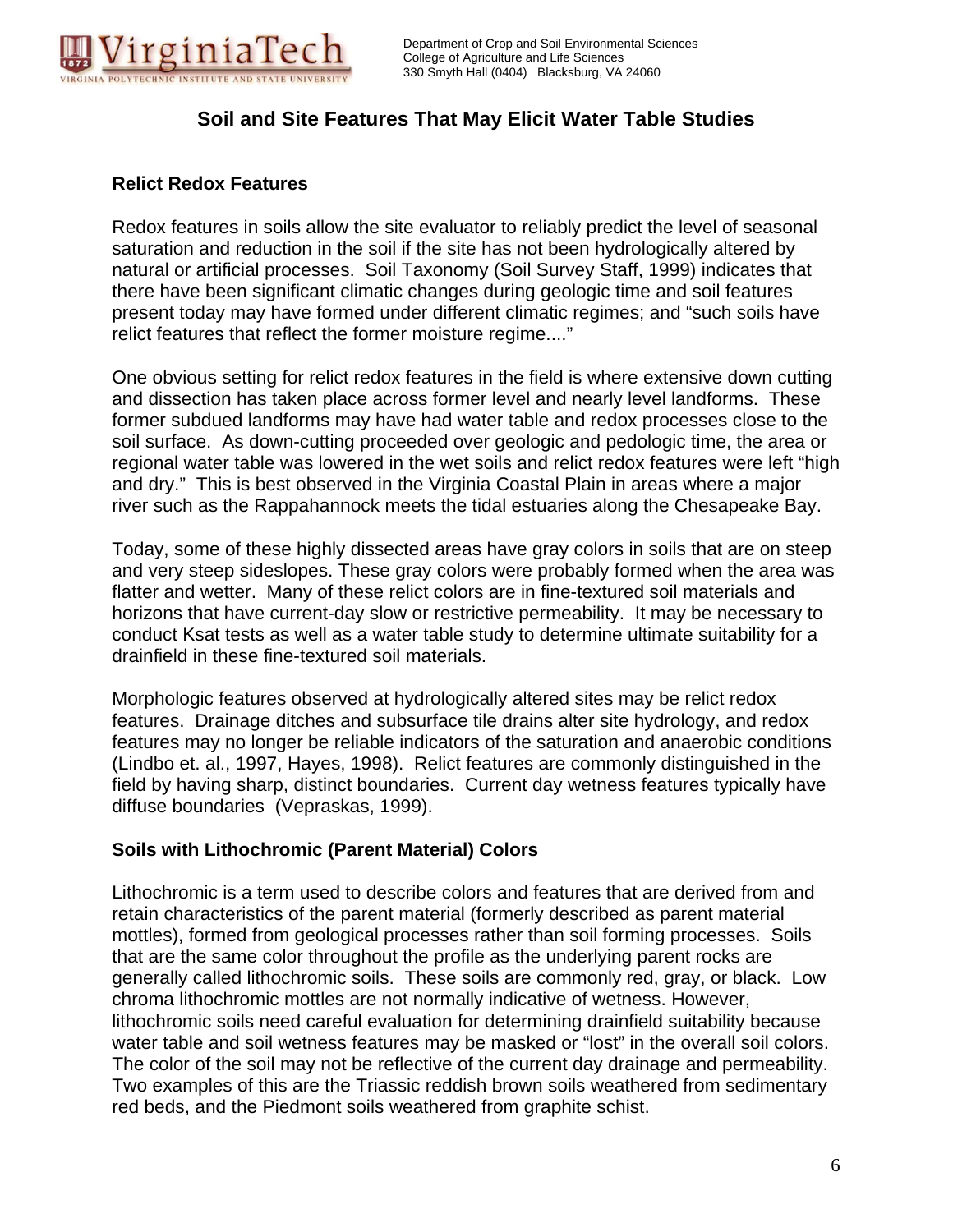

## **Soil and Site Features That May Elicit Water Table Studies**

#### **Relict Redox Features**

Redox features in soils allow the site evaluator to reliably predict the level of seasonal saturation and reduction in the soil if the site has not been hydrologically altered by natural or artificial processes. Soil Taxonomy (Soil Survey Staff, 1999) indicates that there have been significant climatic changes during geologic time and soil features present today may have formed under different climatic regimes; and "such soils have relict features that reflect the former moisture regime...."

One obvious setting for relict redox features in the field is where extensive down cutting and dissection has taken place across former level and nearly level landforms. These former subdued landforms may have had water table and redox processes close to the soil surface. As down-cutting proceeded over geologic and pedologic time, the area or regional water table was lowered in the wet soils and relict redox features were left "high and dry." This is best observed in the Virginia Coastal Plain in areas where a major river such as the Rappahannock meets the tidal estuaries along the Chesapeake Bay.

Today, some of these highly dissected areas have gray colors in soils that are on steep and very steep sideslopes. These gray colors were probably formed when the area was flatter and wetter. Many of these relict colors are in fine-textured soil materials and horizons that have current-day slow or restrictive permeability. It may be necessary to conduct Ksat tests as well as a water table study to determine ultimate suitability for a drainfield in these fine-textured soil materials.

Morphologic features observed at hydrologically altered sites may be relict redox features. Drainage ditches and subsurface tile drains alter site hydrology, and redox features may no longer be reliable indicators of the saturation and anaerobic conditions (Lindbo et. al., 1997, Hayes, 1998). Relict features are commonly distinguished in the field by having sharp, distinct boundaries. Current day wetness features typically have diffuse boundaries (Vepraskas, 1999).

#### **Soils with Lithochromic (Parent Material) Colors**

Lithochromic is a term used to describe colors and features that are derived from and retain characteristics of the parent material (formerly described as parent material mottles), formed from geological processes rather than soil forming processes. Soils that are the same color throughout the profile as the underlying parent rocks are generally called lithochromic soils. These soils are commonly red, gray, or black. Low chroma lithochromic mottles are not normally indicative of wetness. However, lithochromic soils need careful evaluation for determining drainfield suitability because water table and soil wetness features may be masked or "lost" in the overall soil colors. The color of the soil may not be reflective of the current day drainage and permeability. Two examples of this are the Triassic reddish brown soils weathered from sedimentary red beds, and the Piedmont soils weathered from graphite schist.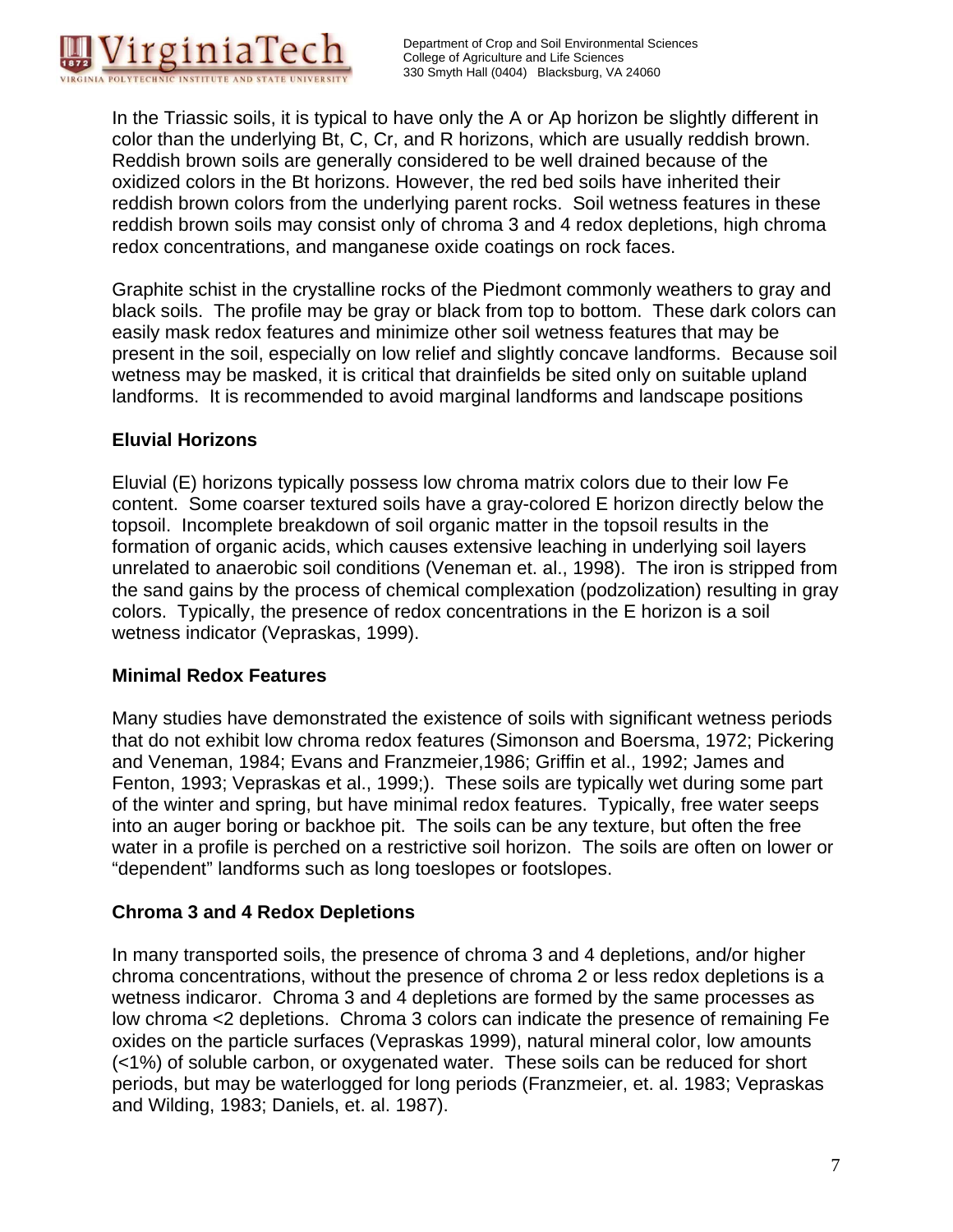

In the Triassic soils, it is typical to have only the A or Ap horizon be slightly different in color than the underlying Bt, C, Cr, and R horizons, which are usually reddish brown. Reddish brown soils are generally considered to be well drained because of the oxidized colors in the Bt horizons. However, the red bed soils have inherited their reddish brown colors from the underlying parent rocks. Soil wetness features in these reddish brown soils may consist only of chroma 3 and 4 redox depletions, high chroma redox concentrations, and manganese oxide coatings on rock faces.

Graphite schist in the crystalline rocks of the Piedmont commonly weathers to gray and black soils. The profile may be gray or black from top to bottom. These dark colors can easily mask redox features and minimize other soil wetness features that may be present in the soil, especially on low relief and slightly concave landforms. Because soil wetness may be masked, it is critical that drainfields be sited only on suitable upland landforms. It is recommended to avoid marginal landforms and landscape positions

## **Eluvial Horizons**

Eluvial (E) horizons typically possess low chroma matrix colors due to their low Fe content. Some coarser textured soils have a gray-colored E horizon directly below the topsoil. Incomplete breakdown of soil organic matter in the topsoil results in the formation of organic acids, which causes extensive leaching in underlying soil layers unrelated to anaerobic soil conditions (Veneman et. al., 1998). The iron is stripped from the sand gains by the process of chemical complexation (podzolization) resulting in gray colors. Typically, the presence of redox concentrations in the E horizon is a soil wetness indicator (Vepraskas, 1999).

## **Minimal Redox Features**

Many studies have demonstrated the existence of soils with significant wetness periods that do not exhibit low chroma redox features (Simonson and Boersma, 1972; Pickering and Veneman, 1984; Evans and Franzmeier,1986; Griffin et al., 1992; James and Fenton, 1993; Vepraskas et al., 1999;). These soils are typically wet during some part of the winter and spring, but have minimal redox features. Typically, free water seeps into an auger boring or backhoe pit. The soils can be any texture, but often the free water in a profile is perched on a restrictive soil horizon. The soils are often on lower or "dependent" landforms such as long toeslopes or footslopes.

## **Chroma 3 and 4 Redox Depletions**

In many transported soils, the presence of chroma 3 and 4 depletions, and/or higher chroma concentrations, without the presence of chroma 2 or less redox depletions is a wetness indicaror. Chroma 3 and 4 depletions are formed by the same processes as low chroma <2 depletions. Chroma 3 colors can indicate the presence of remaining Fe oxides on the particle surfaces (Vepraskas 1999), natural mineral color, low amounts (<1%) of soluble carbon, or oxygenated water. These soils can be reduced for short periods, but may be waterlogged for long periods (Franzmeier, et. al. 1983; Vepraskas and Wilding, 1983; Daniels, et. al. 1987).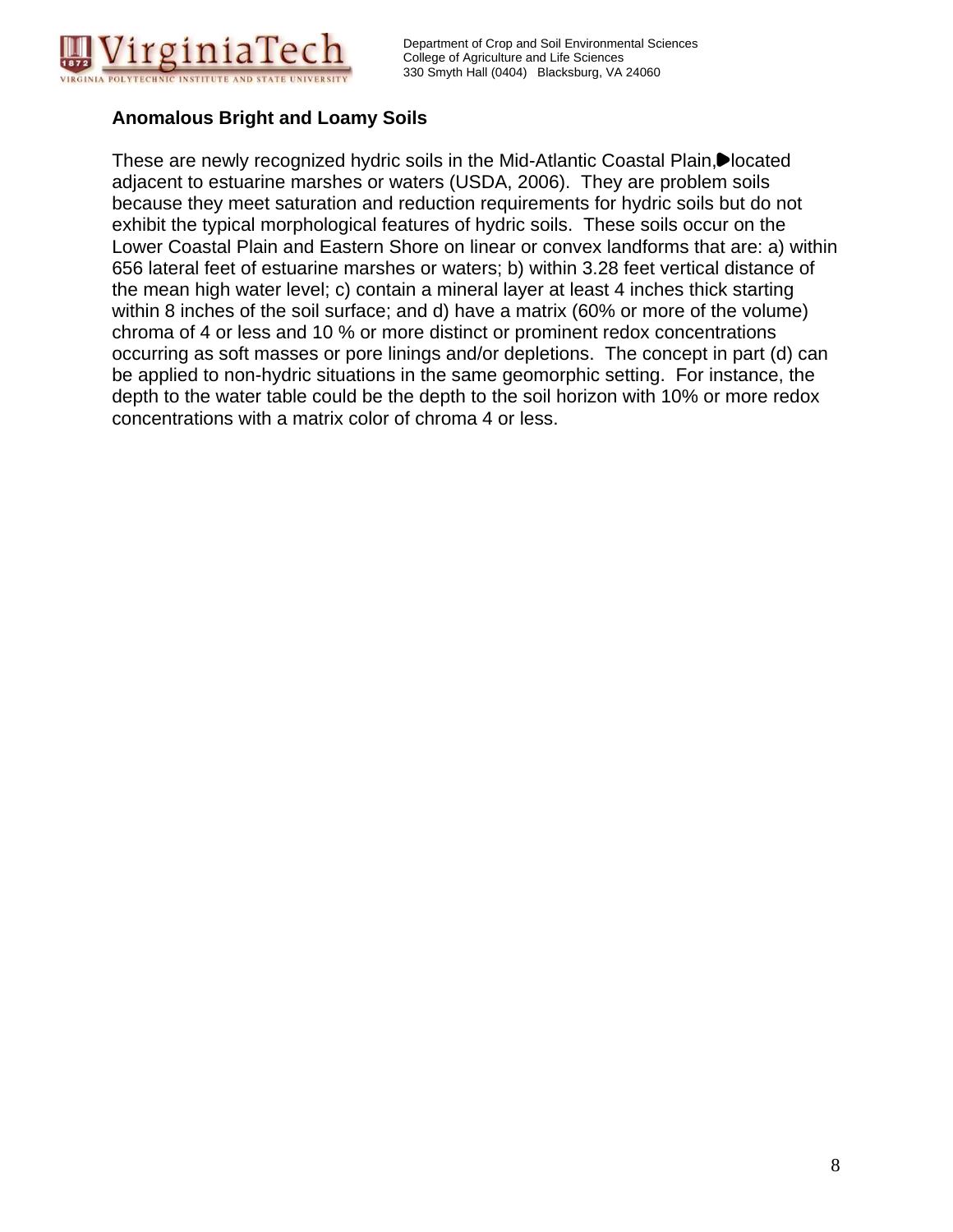

## **Anomalous Bright and Loamy Soils**

These are newly recognized hydric soils in the Mid-Atlantic Coastal Plain, Dlocated adjacent to estuarine marshes or waters (USDA, 2006). They are problem soils because they meet saturation and reduction requirements for hydric soils but do not exhibit the typical morphological features of hydric soils. These soils occur on the Lower Coastal Plain and Eastern Shore on linear or convex landforms that are: a) within 656 lateral feet of estuarine marshes or waters; b) within 3.28 feet vertical distance of the mean high water level; c) contain a mineral layer at least 4 inches thick starting within 8 inches of the soil surface; and d) have a matrix (60% or more of the volume) chroma of 4 or less and 10 % or more distinct or prominent redox concentrations occurring as soft masses or pore linings and/or depletions. The concept in part (d) can be applied to non-hydric situations in the same geomorphic setting. For instance, the depth to the water table could be the depth to the soil horizon with 10% or more redox concentrations with a matrix color of chroma 4 or less.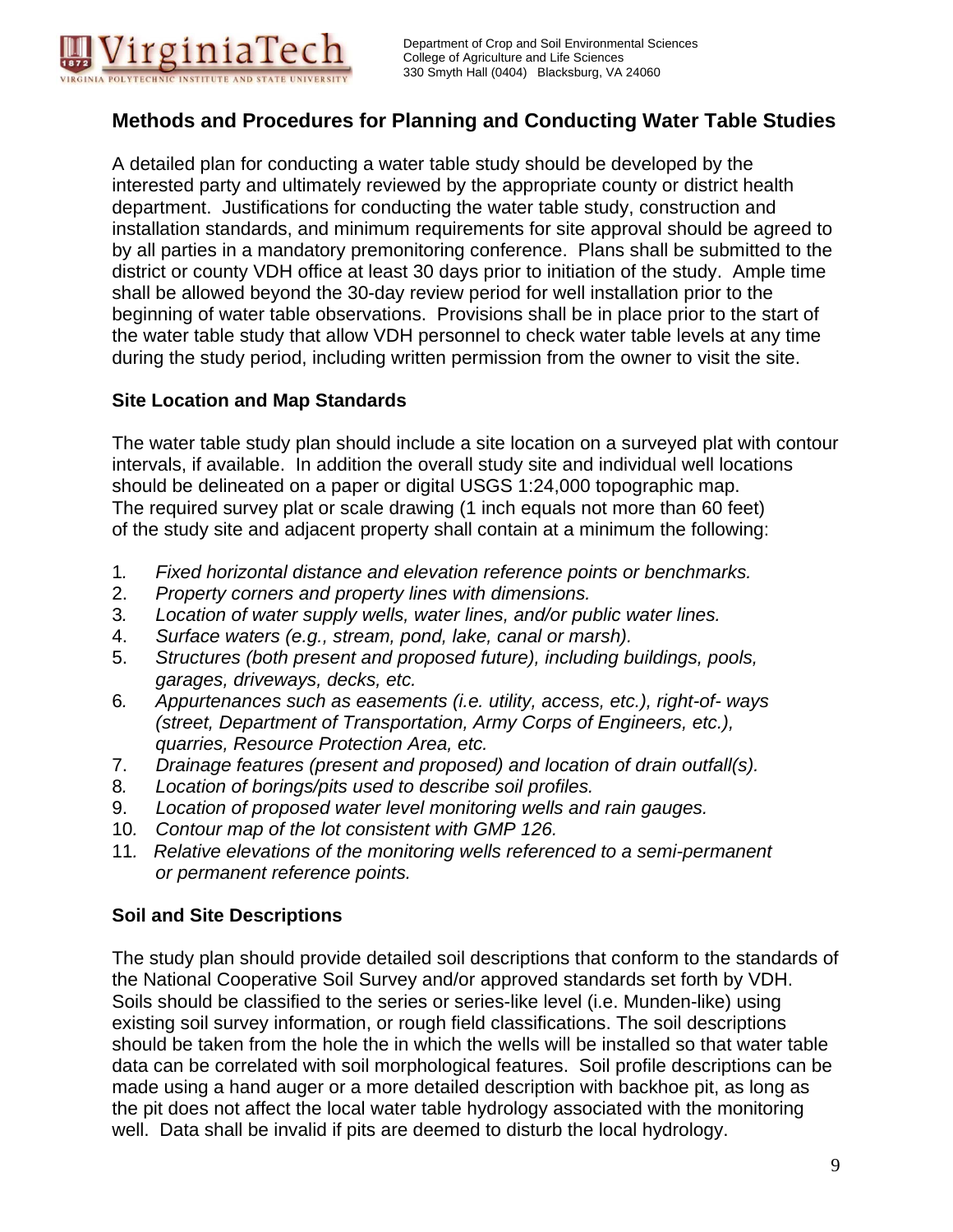

## **Methods and Procedures for Planning and Conducting Water Table Studies**

A detailed plan for conducting a water table study should be developed by the interested party and ultimately reviewed by the appropriate county or district health department. Justifications for conducting the water table study, construction and installation standards, and minimum requirements for site approval should be agreed to by all parties in a mandatory premonitoring conference. Plans shall be submitted to the district or county VDH office at least 30 days prior to initiation of the study. Ample time shall be allowed beyond the 30-day review period for well installation prior to the beginning of water table observations. Provisions shall be in place prior to the start of the water table study that allow VDH personnel to check water table levels at any time during the study period, including written permission from the owner to visit the site.

#### **Site Location and Map Standards**

The water table study plan should include a site location on a surveyed plat with contour intervals, if available. In addition the overall study site and individual well locations should be delineated on a paper or digital USGS 1:24,000 topographic map. The required survey plat or scale drawing (1 inch equals not more than 60 feet) of the study site and adjacent property shall contain at a minimum the following:

- 1*. Fixed horizontal distance and elevation reference points or benchmarks.*
- 2. *Property corners and property lines with dimensions.*
- 3*. Location of water supply wells, water lines, and/or public water lines.*
- 4. *Surface waters (e.g., stream, pond, lake, canal or marsh).*
- 5. *Structures (both present and proposed future), including buildings, pools, garages, driveways, decks, etc.*
- 6*. Appurtenances such as easements (i.e. utility, access, etc.), right-of- ways (street, Department of Transportation, Army Corps of Engineers, etc.), quarries, Resource Protection Area, etc.*
- 7. *Drainage features (present and proposed) and location of drain outfall(s).*
- 8*. Location of borings/pits used to describe soil profiles.*
- 9. *Location of proposed water level monitoring wells and rain gauges.*
- 10*. Contour map of the lot consistent with GMP 126.*
- 11*. Relative elevations of the monitoring wells referenced to a semi-permanent or permanent reference points.*

#### **Soil and Site Descriptions**

The study plan should provide detailed soil descriptions that conform to the standards of the National Cooperative Soil Survey and/or approved standards set forth by VDH. Soils should be classified to the series or series-like level (i.e. Munden-like) using existing soil survey information, or rough field classifications. The soil descriptions should be taken from the hole the in which the wells will be installed so that water table data can be correlated with soil morphological features. Soil profile descriptions can be made using a hand auger or a more detailed description with backhoe pit, as long as the pit does not affect the local water table hydrology associated with the monitoring well. Data shall be invalid if pits are deemed to disturb the local hydrology.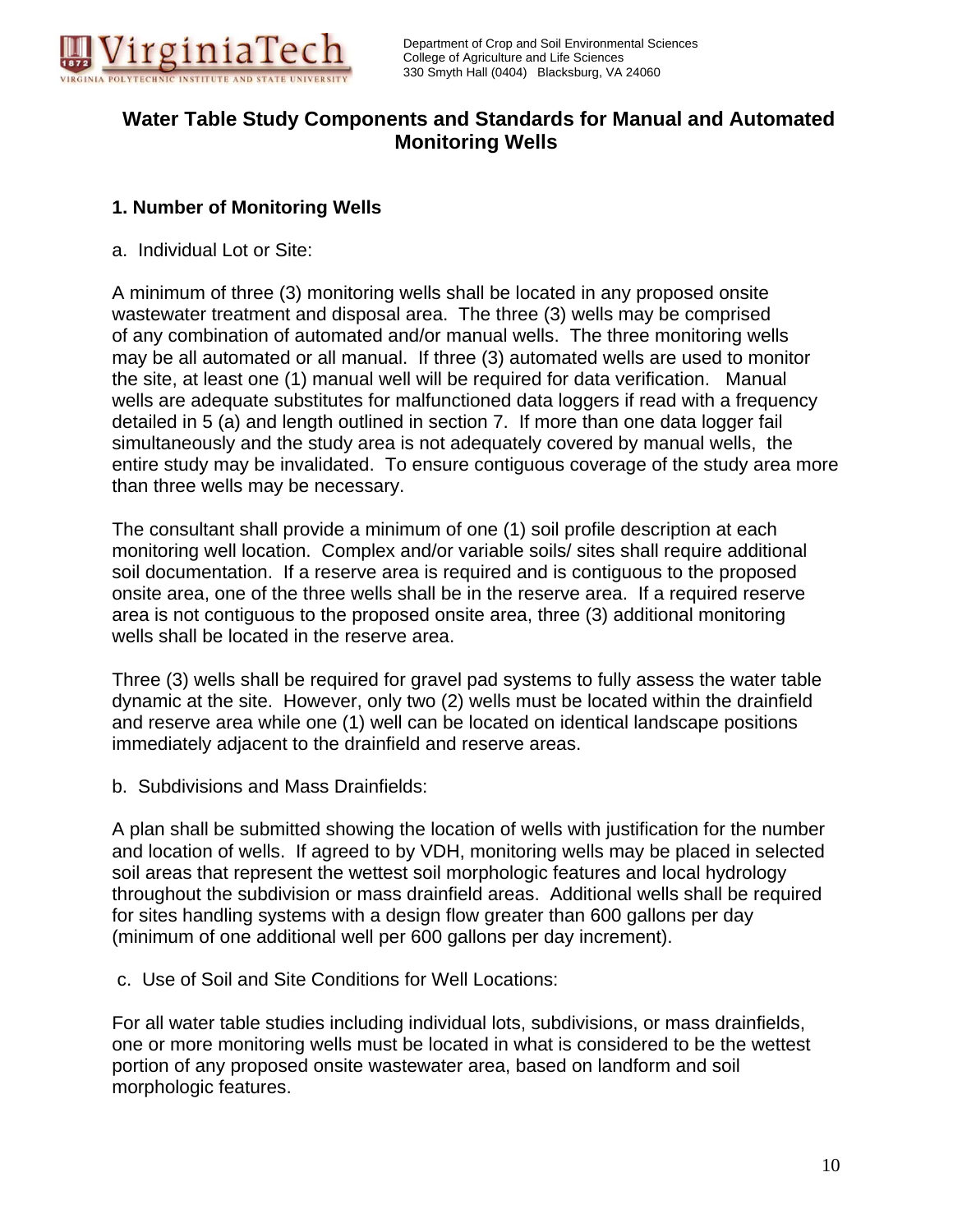

## **Water Table Study Components and Standards for Manual and Automated Monitoring Wells**

#### **1. Number of Monitoring Wells**

a. Individual Lot or Site:

A minimum of three (3) monitoring wells shall be located in any proposed onsite wastewater treatment and disposal area. The three (3) wells may be comprised of any combination of automated and/or manual wells. The three monitoring wells may be all automated or all manual. If three (3) automated wells are used to monitor the site, at least one (1) manual well will be required for data verification. Manual wells are adequate substitutes for malfunctioned data loggers if read with a frequency detailed in 5 (a) and length outlined in section 7. If more than one data logger fail simultaneously and the study area is not adequately covered by manual wells, the entire study may be invalidated. To ensure contiguous coverage of the study area more than three wells may be necessary.

The consultant shall provide a minimum of one (1) soil profile description at each monitoring well location. Complex and/or variable soils/ sites shall require additional soil documentation. If a reserve area is required and is contiguous to the proposed onsite area, one of the three wells shall be in the reserve area. If a required reserve area is not contiguous to the proposed onsite area, three (3) additional monitoring wells shall be located in the reserve area.

Three (3) wells shall be required for gravel pad systems to fully assess the water table dynamic at the site. However, only two (2) wells must be located within the drainfield and reserve area while one (1) well can be located on identical landscape positions immediately adjacent to the drainfield and reserve areas.

b. Subdivisions and Mass Drainfields:

A plan shall be submitted showing the location of wells with justification for the number and location of wells. If agreed to by VDH, monitoring wells may be placed in selected soil areas that represent the wettest soil morphologic features and local hydrology throughout the subdivision or mass drainfield areas. Additional wells shall be required for sites handling systems with a design flow greater than 600 gallons per day (minimum of one additional well per 600 gallons per day increment).

c. Use of Soil and Site Conditions for Well Locations:

For all water table studies including individual lots, subdivisions, or mass drainfields, one or more monitoring wells must be located in what is considered to be the wettest portion of any proposed onsite wastewater area, based on landform and soil morphologic features.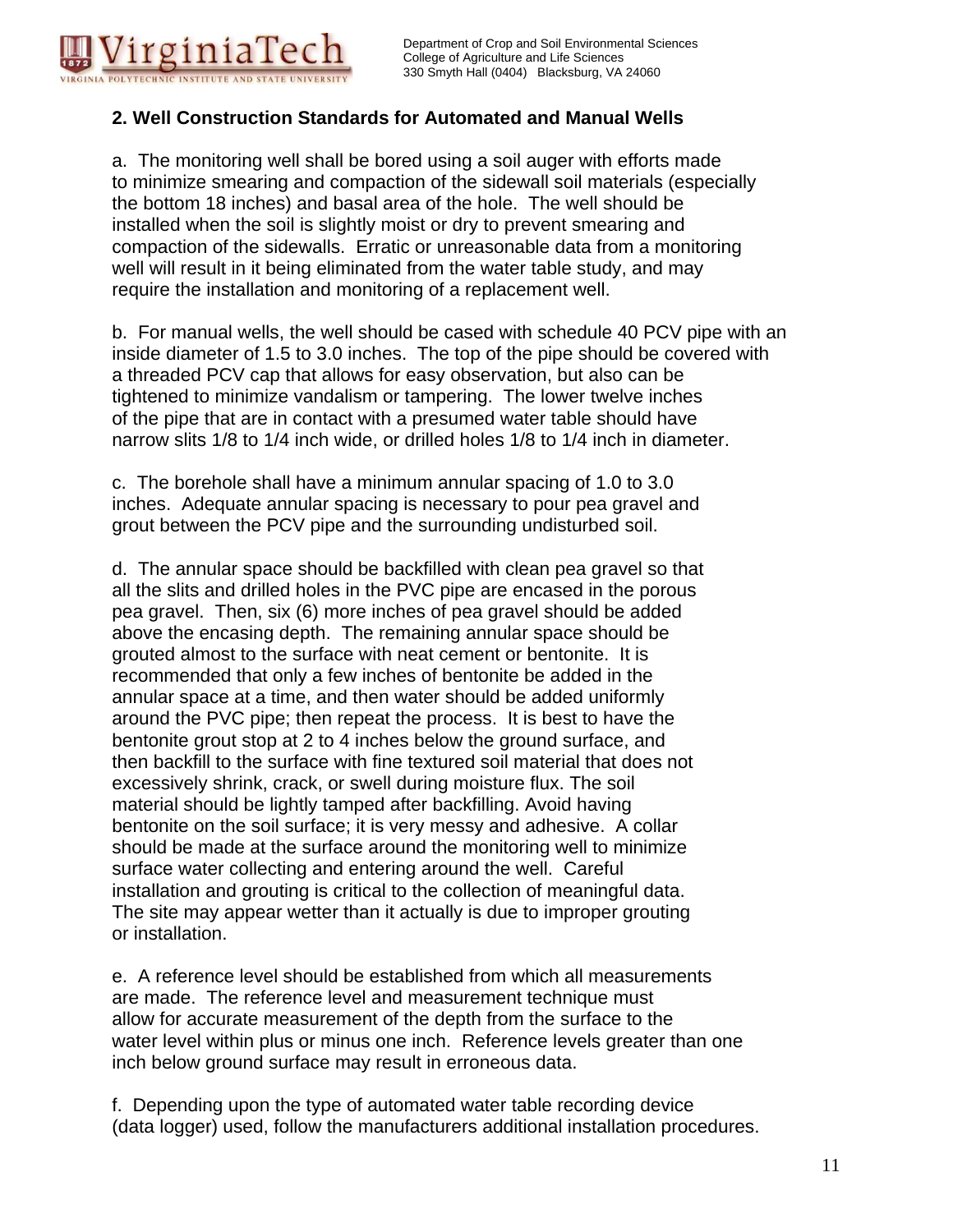

## **2. Well Construction Standards for Automated and Manual Wells**

a. The monitoring well shall be bored using a soil auger with efforts made to minimize smearing and compaction of the sidewall soil materials (especially the bottom 18 inches) and basal area of the hole. The well should be installed when the soil is slightly moist or dry to prevent smearing and compaction of the sidewalls. Erratic or unreasonable data from a monitoring well will result in it being eliminated from the water table study, and may require the installation and monitoring of a replacement well.

b. For manual wells, the well should be cased with schedule 40 PCV pipe with an inside diameter of 1.5 to 3.0 inches. The top of the pipe should be covered with a threaded PCV cap that allows for easy observation, but also can be tightened to minimize vandalism or tampering. The lower twelve inches of the pipe that are in contact with a presumed water table should have narrow slits 1/8 to 1/4 inch wide, or drilled holes 1/8 to 1/4 inch in diameter.

c. The borehole shall have a minimum annular spacing of 1.0 to 3.0 inches. Adequate annular spacing is necessary to pour pea gravel and grout between the PCV pipe and the surrounding undisturbed soil.

d. The annular space should be backfilled with clean pea gravel so that all the slits and drilled holes in the PVC pipe are encased in the porous pea gravel. Then, six (6) more inches of pea gravel should be added above the encasing depth. The remaining annular space should be grouted almost to the surface with neat cement or bentonite. It is recommended that only a few inches of bentonite be added in the annular space at a time, and then water should be added uniformly around the PVC pipe; then repeat the process. It is best to have the bentonite grout stop at 2 to 4 inches below the ground surface, and then backfill to the surface with fine textured soil material that does not excessively shrink, crack, or swell during moisture flux. The soil material should be lightly tamped after backfilling. Avoid having bentonite on the soil surface; it is very messy and adhesive. A collar should be made at the surface around the monitoring well to minimize surface water collecting and entering around the well. Careful installation and grouting is critical to the collection of meaningful data. The site may appear wetter than it actually is due to improper grouting or installation.

e. A reference level should be established from which all measurements are made. The reference level and measurement technique must allow for accurate measurement of the depth from the surface to the water level within plus or minus one inch. Reference levels greater than one inch below ground surface may result in erroneous data.

f. Depending upon the type of automated water table recording device (data logger) used, follow the manufacturers additional installation procedures.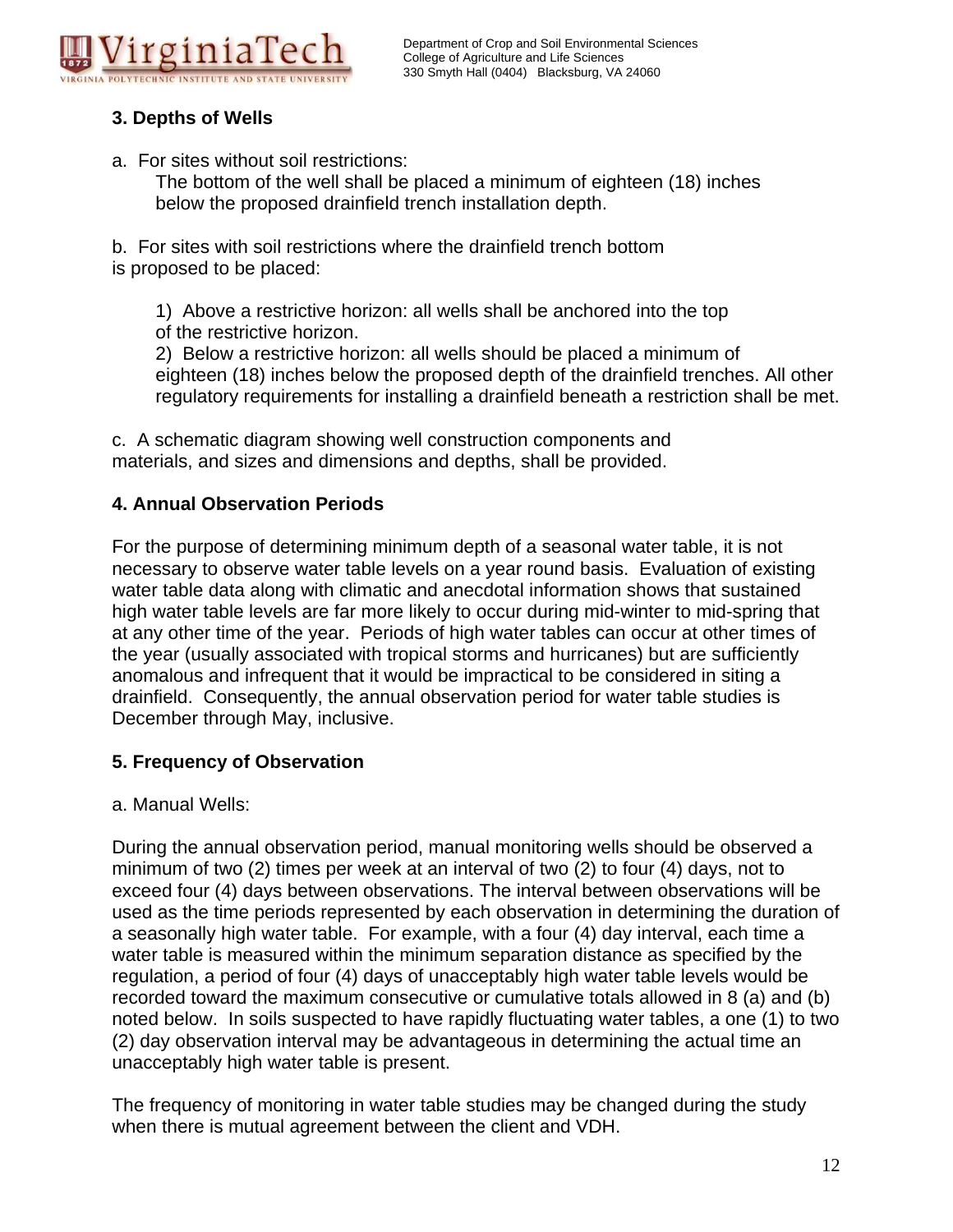

## **3. Depths of Wells**

a. For sites without soil restrictions:

 The bottom of the well shall be placed a minimum of eighteen (18) inches below the proposed drainfield trench installation depth.

b. For sites with soil restrictions where the drainfield trench bottom is proposed to be placed:

 1) Above a restrictive horizon: all wells shall be anchored into the top of the restrictive horizon.

 2) Below a restrictive horizon: all wells should be placed a minimum of eighteen (18) inches below the proposed depth of the drainfield trenches. All other regulatory requirements for installing a drainfield beneath a restriction shall be met.

c. A schematic diagram showing well construction components and materials, and sizes and dimensions and depths, shall be provided.

## **4. Annual Observation Periods**

For the purpose of determining minimum depth of a seasonal water table, it is not necessary to observe water table levels on a year round basis. Evaluation of existing water table data along with climatic and anecdotal information shows that sustained high water table levels are far more likely to occur during mid-winter to mid-spring that at any other time of the year. Periods of high water tables can occur at other times of the year (usually associated with tropical storms and hurricanes) but are sufficiently anomalous and infrequent that it would be impractical to be considered in siting a drainfield. Consequently, the annual observation period for water table studies is December through May, inclusive.

## **5. Frequency of Observation**

a. Manual Wells:

During the annual observation period, manual monitoring wells should be observed a minimum of two (2) times per week at an interval of two (2) to four (4) days, not to exceed four (4) days between observations. The interval between observations will be used as the time periods represented by each observation in determining the duration of a seasonally high water table. For example, with a four (4) day interval, each time a water table is measured within the minimum separation distance as specified by the regulation, a period of four (4) days of unacceptably high water table levels would be recorded toward the maximum consecutive or cumulative totals allowed in 8 (a) and (b) noted below. In soils suspected to have rapidly fluctuating water tables, a one (1) to two (2) day observation interval may be advantageous in determining the actual time an unacceptably high water table is present.

The frequency of monitoring in water table studies may be changed during the study when there is mutual agreement between the client and VDH.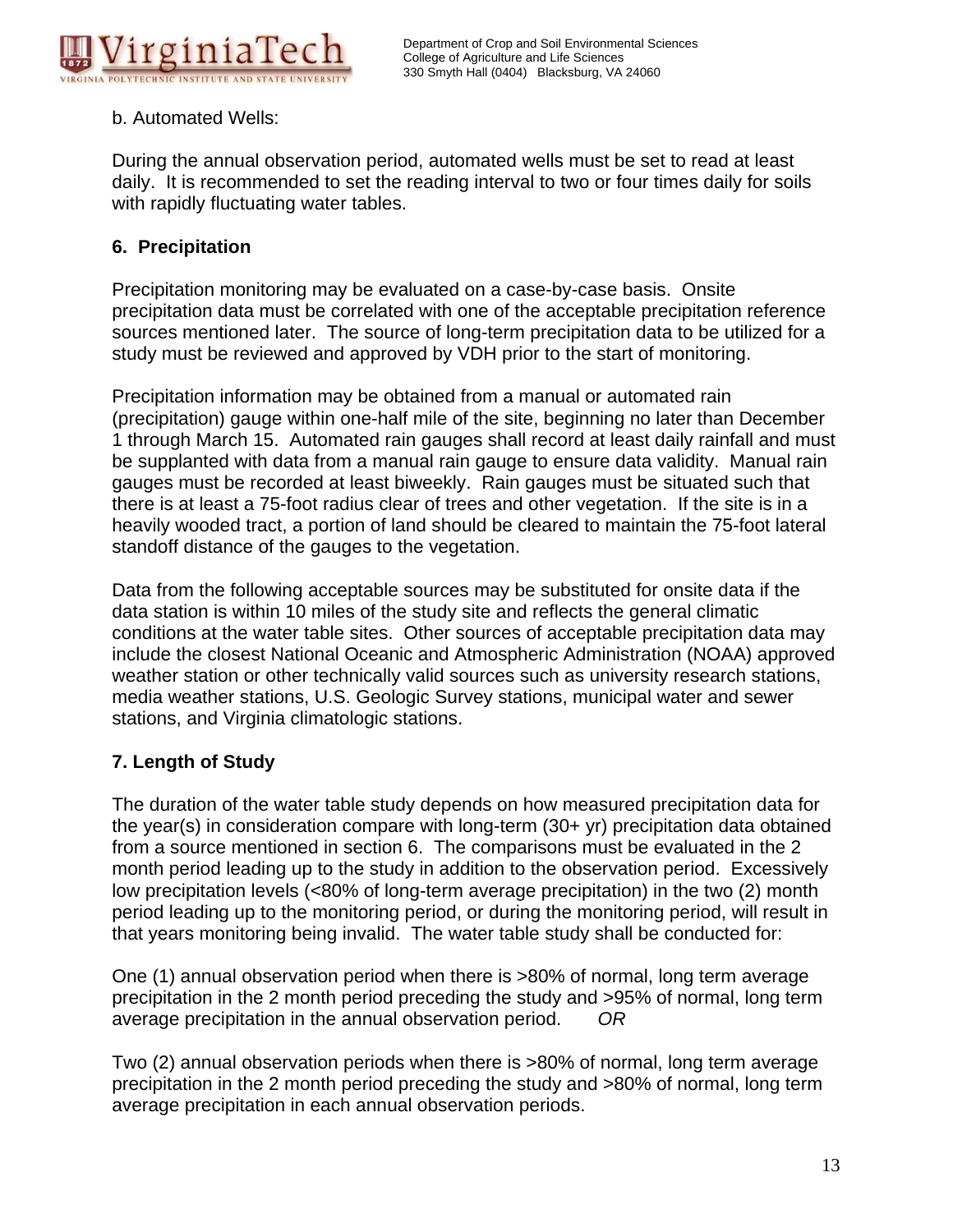

## b. Automated Wells:

During the annual observation period, automated wells must be set to read at least daily. It is recommended to set the reading interval to two or four times daily for soils with rapidly fluctuating water tables.

## **6. Precipitation**

Precipitation monitoring may be evaluated on a case-by-case basis. Onsite precipitation data must be correlated with one of the acceptable precipitation reference sources mentioned later. The source of long-term precipitation data to be utilized for a study must be reviewed and approved by VDH prior to the start of monitoring.

Precipitation information may be obtained from a manual or automated rain (precipitation) gauge within one-half mile of the site, beginning no later than December 1 through March 15. Automated rain gauges shall record at least daily rainfall and must be supplanted with data from a manual rain gauge to ensure data validity. Manual rain gauges must be recorded at least biweekly. Rain gauges must be situated such that there is at least a 75-foot radius clear of trees and other vegetation. If the site is in a heavily wooded tract, a portion of land should be cleared to maintain the 75-foot lateral standoff distance of the gauges to the vegetation.

Data from the following acceptable sources may be substituted for onsite data if the data station is within 10 miles of the study site and reflects the general climatic conditions at the water table sites. Other sources of acceptable precipitation data may include the closest National Oceanic and Atmospheric Administration (NOAA) approved weather station or other technically valid sources such as university research stations, media weather stations, U.S. Geologic Survey stations, municipal water and sewer stations, and Virginia climatologic stations.

## **7. Length of Study**

The duration of the water table study depends on how measured precipitation data for the year(s) in consideration compare with long-term (30+ yr) precipitation data obtained from a source mentioned in section 6. The comparisons must be evaluated in the 2 month period leading up to the study in addition to the observation period. Excessively low precipitation levels (<80% of long-term average precipitation) in the two (2) month period leading up to the monitoring period, or during the monitoring period, will result in that years monitoring being invalid. The water table study shall be conducted for:

One (1) annual observation period when there is >80% of normal, long term average precipitation in the 2 month period preceding the study and >95% of normal, long term average precipitation in the annual observation period. *OR*

Two (2) annual observation periods when there is >80% of normal, long term average precipitation in the 2 month period preceding the study and >80% of normal, long term average precipitation in each annual observation periods.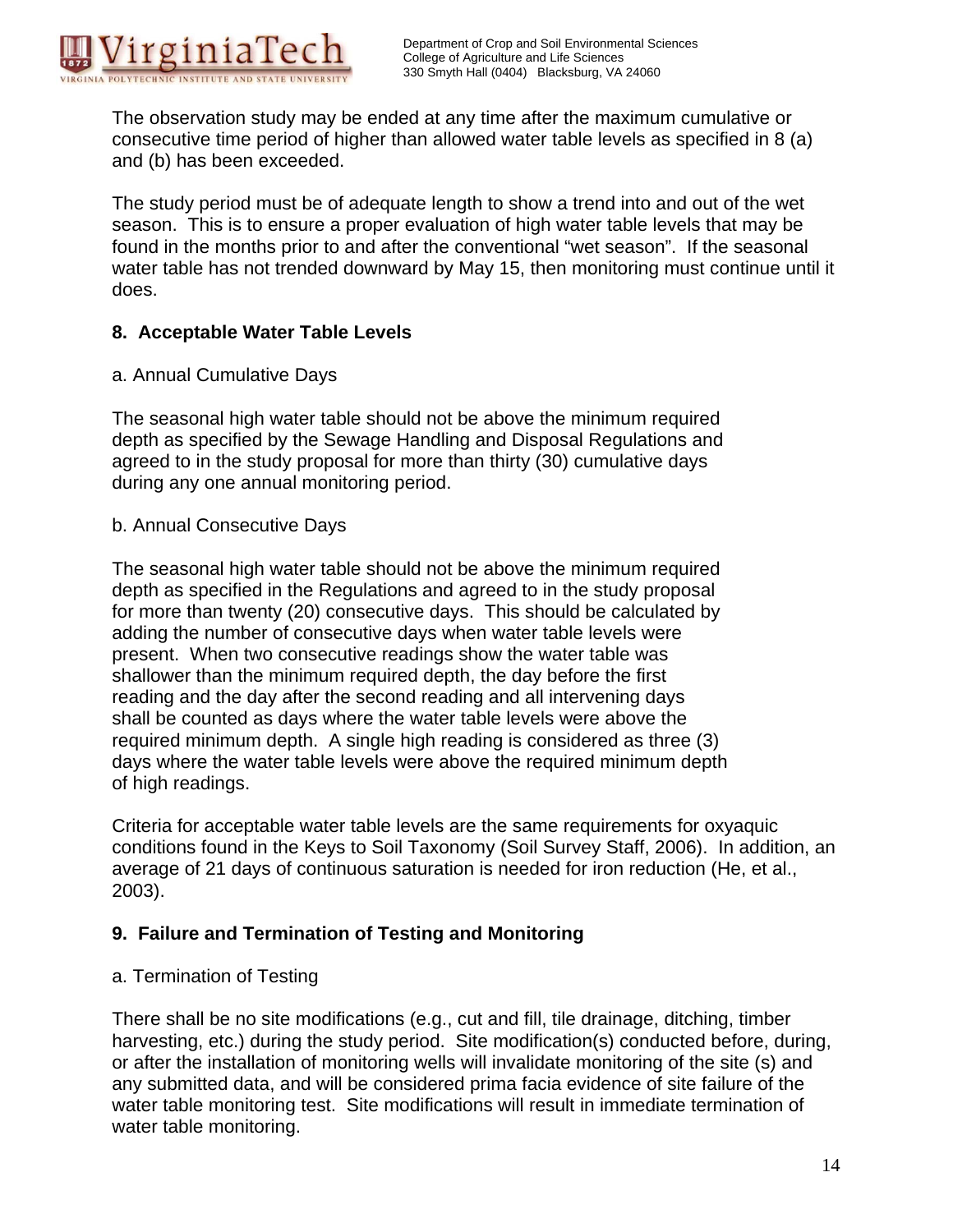

The observation study may be ended at any time after the maximum cumulative or consecutive time period of higher than allowed water table levels as specified in 8 (a) and (b) has been exceeded.

The study period must be of adequate length to show a trend into and out of the wet season. This is to ensure a proper evaluation of high water table levels that may be found in the months prior to and after the conventional "wet season". If the seasonal water table has not trended downward by May 15, then monitoring must continue until it does.

#### **8. Acceptable Water Table Levels**

a. Annual Cumulative Days

The seasonal high water table should not be above the minimum required depth as specified by the Sewage Handling and Disposal Regulations and agreed to in the study proposal for more than thirty (30) cumulative days during any one annual monitoring period.

b. Annual Consecutive Days

The seasonal high water table should not be above the minimum required depth as specified in the Regulations and agreed to in the study proposal for more than twenty (20) consecutive days. This should be calculated by adding the number of consecutive days when water table levels were present. When two consecutive readings show the water table was shallower than the minimum required depth, the day before the first reading and the day after the second reading and all intervening days shall be counted as days where the water table levels were above the required minimum depth. A single high reading is considered as three (3) days where the water table levels were above the required minimum depth of high readings.

Criteria for acceptable water table levels are the same requirements for oxyaquic conditions found in the Keys to Soil Taxonomy (Soil Survey Staff, 2006). In addition, an average of 21 days of continuous saturation is needed for iron reduction (He, et al., 2003).

## **9. Failure and Termination of Testing and Monitoring**

## a. Termination of Testing

There shall be no site modifications (e.g., cut and fill, tile drainage, ditching, timber harvesting, etc.) during the study period. Site modification(s) conducted before, during, or after the installation of monitoring wells will invalidate monitoring of the site (s) and any submitted data, and will be considered prima facia evidence of site failure of the water table monitoring test. Site modifications will result in immediate termination of water table monitoring.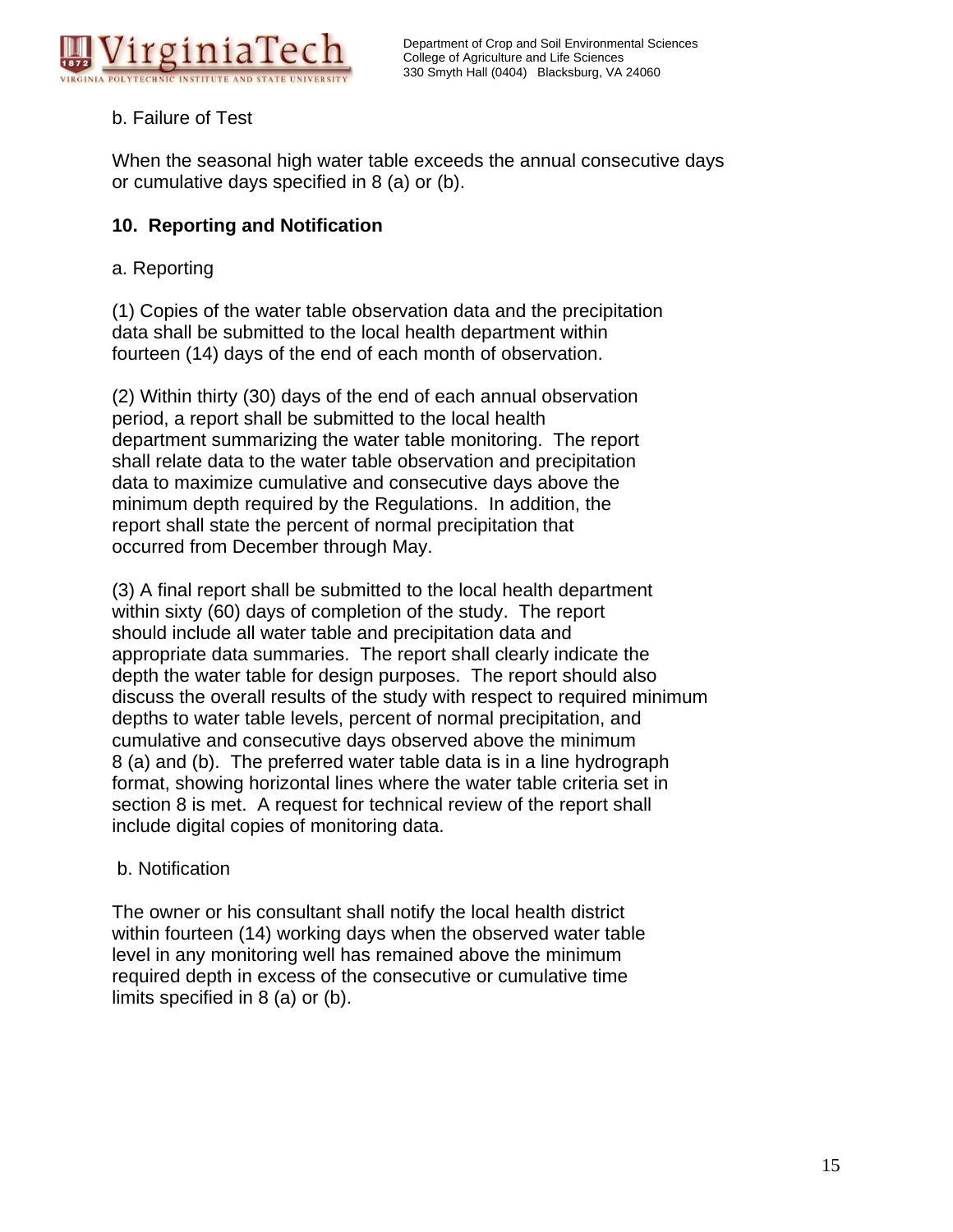

## b. Failure of Test

When the seasonal high water table exceeds the annual consecutive days or cumulative days specified in 8 (a) or (b).

## **10. Reporting and Notification**

#### a. Reporting

(1) Copies of the water table observation data and the precipitation data shall be submitted to the local health department within fourteen (14) days of the end of each month of observation.

(2) Within thirty (30) days of the end of each annual observation period, a report shall be submitted to the local health department summarizing the water table monitoring. The report shall relate data to the water table observation and precipitation data to maximize cumulative and consecutive days above the minimum depth required by the Regulations. In addition, the report shall state the percent of normal precipitation that occurred from December through May.

(3) A final report shall be submitted to the local health department within sixty (60) days of completion of the study. The report should include all water table and precipitation data and appropriate data summaries. The report shall clearly indicate the depth the water table for design purposes. The report should also discuss the overall results of the study with respect to required minimum depths to water table levels, percent of normal precipitation, and cumulative and consecutive days observed above the minimum 8 (a) and (b). The preferred water table data is in a line hydrograph format, showing horizontal lines where the water table criteria set in section 8 is met. A request for technical review of the report shall include digital copies of monitoring data.

## b. Notification

The owner or his consultant shall notify the local health district within fourteen (14) working days when the observed water table level in any monitoring well has remained above the minimum required depth in excess of the consecutive or cumulative time limits specified in 8 (a) or (b).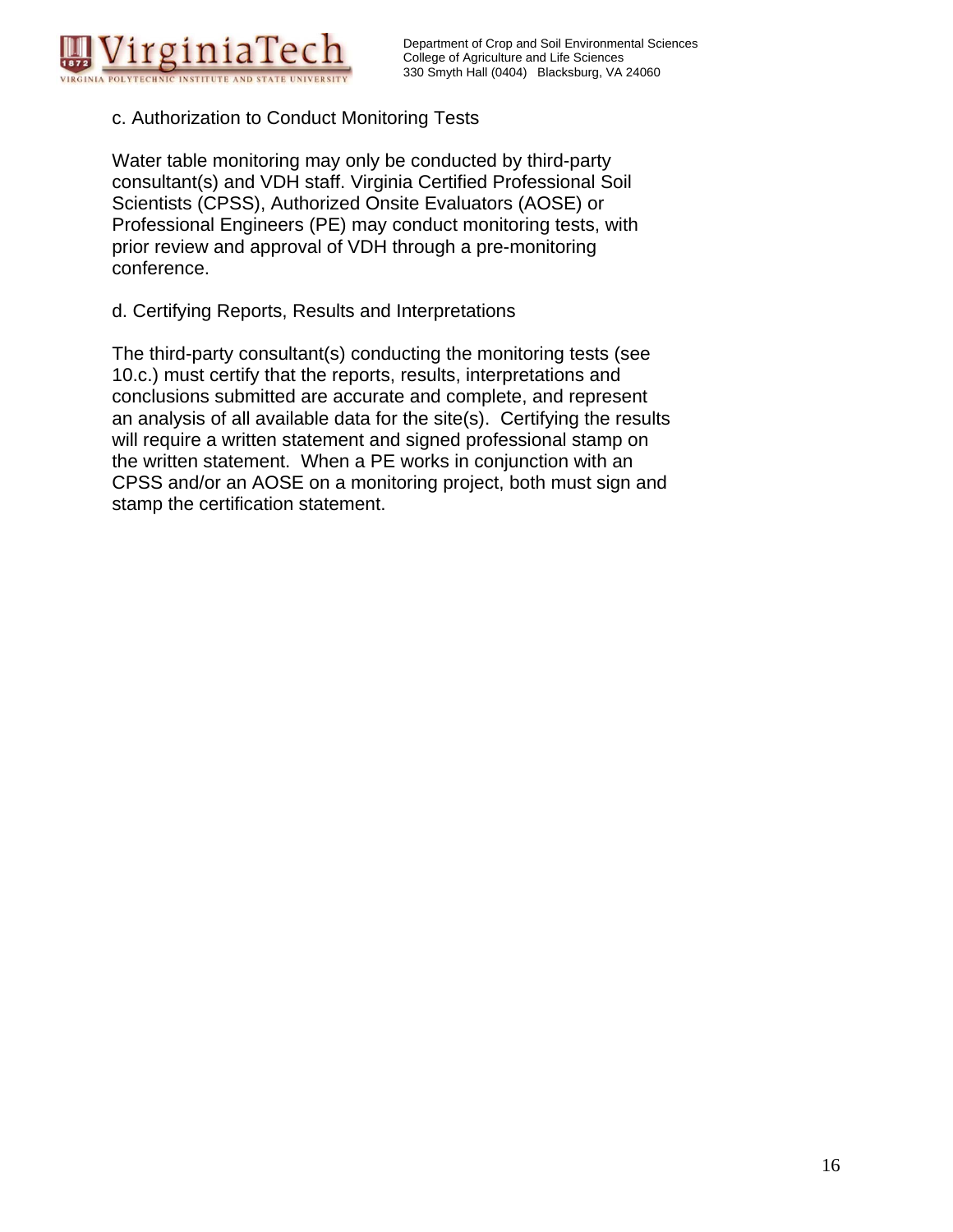

## c. Authorization to Conduct Monitoring Tests

Water table monitoring may only be conducted by third-party consultant(s) and VDH staff. Virginia Certified Professional Soil Scientists (CPSS), Authorized Onsite Evaluators (AOSE) or Professional Engineers (PE) may conduct monitoring tests, with prior review and approval of VDH through a pre-monitoring conference.

d. Certifying Reports, Results and Interpretations

The third-party consultant(s) conducting the monitoring tests (see 10.c.) must certify that the reports, results, interpretations and conclusions submitted are accurate and complete, and represent an analysis of all available data for the site(s). Certifying the results will require a written statement and signed professional stamp on the written statement. When a PE works in conjunction with an CPSS and/or an AOSE on a monitoring project, both must sign and stamp the certification statement.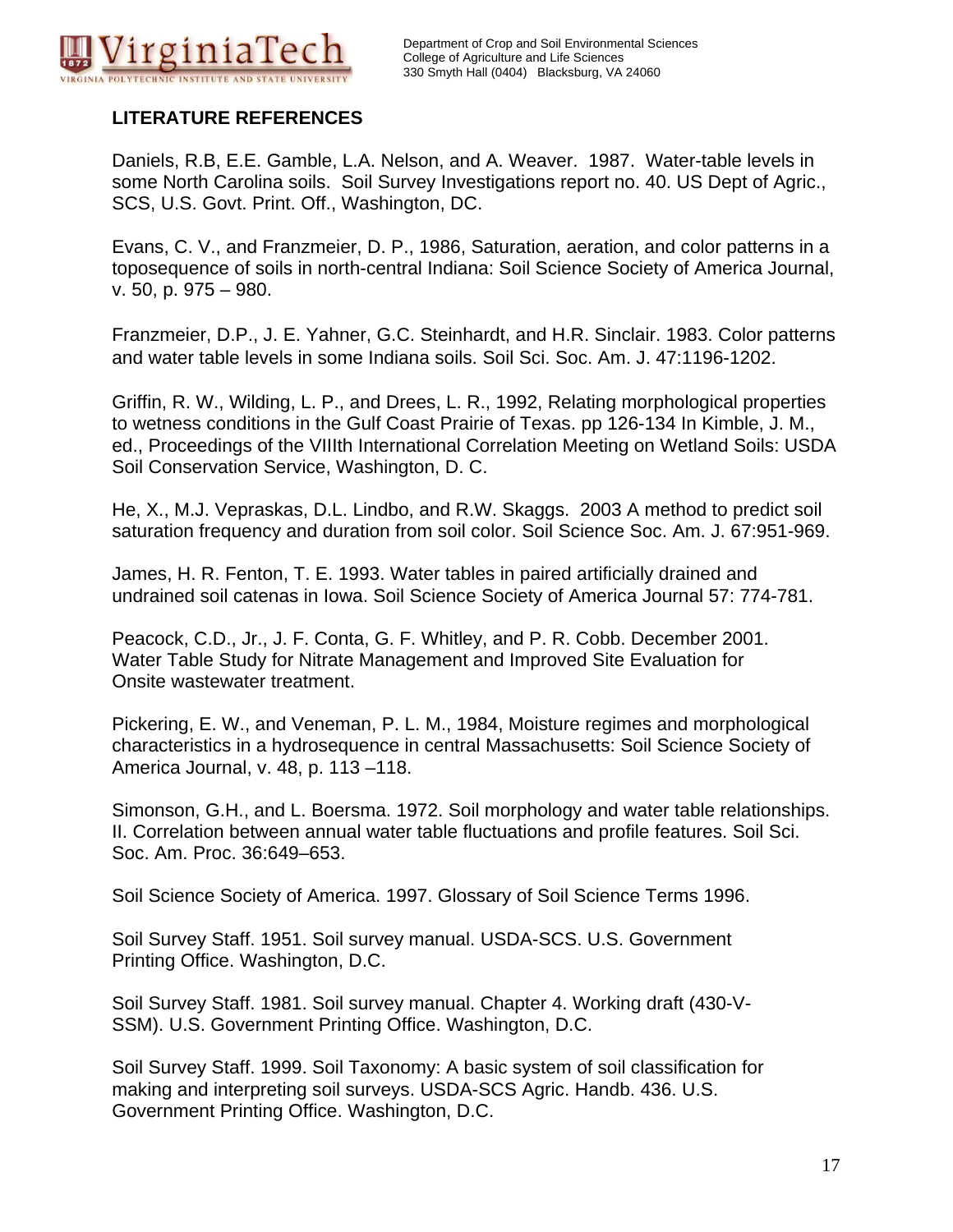

## **LITERATURE REFERENCES**

Daniels, R.B, E.E. Gamble, L.A. Nelson, and A. Weaver. 1987. Water-table levels in some North Carolina soils. Soil Survey Investigations report no. 40. US Dept of Agric., SCS, U.S. Govt. Print. Off., Washington, DC.

Evans, C. V., and Franzmeier, D. P., 1986, Saturation, aeration, and color patterns in a toposequence of soils in north-central Indiana: Soil Science Society of America Journal, v. 50, p. 975 – 980.

Franzmeier, D.P., J. E. Yahner, G.C. Steinhardt, and H.R. Sinclair. 1983. Color patterns and water table levels in some Indiana soils. Soil Sci. Soc. Am. J. 47:1196-1202.

Griffin, R. W., Wilding, L. P., and Drees, L. R., 1992, Relating morphological properties to wetness conditions in the Gulf Coast Prairie of Texas. pp 126-134 In Kimble, J. M., ed., Proceedings of the VIIIth International Correlation Meeting on Wetland Soils: USDA Soil Conservation Service, Washington, D. C.

He, X., M.J. Vepraskas, D.L. Lindbo, and R.W. Skaggs. 2003 A method to predict soil saturation frequency and duration from soil color. Soil Science Soc. Am. J. 67:951-969.

James, H. R. Fenton, T. E. 1993. Water tables in paired artificially drained and undrained soil catenas in Iowa. Soil Science Society of America Journal 57: 774-781.

Peacock, C.D., Jr., J. F. Conta, G. F. Whitley, and P. R. Cobb. December 2001. Water Table Study for Nitrate Management and Improved Site Evaluation for Onsite wastewater treatment.

Pickering, E. W., and Veneman, P. L. M., 1984, Moisture regimes and morphological characteristics in a hydrosequence in central Massachusetts: Soil Science Society of America Journal, v. 48, p. 113 –118.

Simonson, G.H., and L. Boersma. 1972. Soil morphology and water table relationships. II. Correlation between annual water table fluctuations and profile features. Soil Sci. Soc. Am. Proc. 36:649–653.

Soil Science Society of America. 1997. Glossary of Soil Science Terms 1996.

Soil Survey Staff. 1951. Soil survey manual. USDA-SCS. U.S. Government Printing Office. Washington, D.C.

Soil Survey Staff. 1981. Soil survey manual. Chapter 4. Working draft (430-V-SSM). U.S. Government Printing Office. Washington, D.C.

Soil Survey Staff. 1999. Soil Taxonomy: A basic system of soil classification for making and interpreting soil surveys. USDA-SCS Agric. Handb. 436. U.S. Government Printing Office. Washington, D.C.